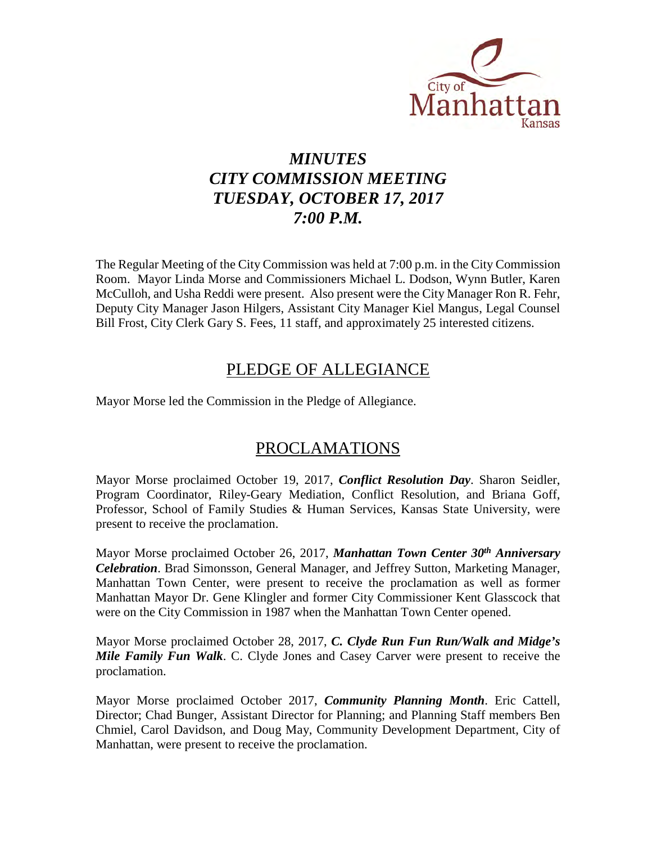

# *MINUTES CITY COMMISSION MEETING TUESDAY, OCTOBER 17, 2017 7:00 P.M.*

The Regular Meeting of the City Commission was held at 7:00 p.m. in the City Commission Room. Mayor Linda Morse and Commissioners Michael L. Dodson, Wynn Butler, Karen McCulloh, and Usha Reddi were present. Also present were the City Manager Ron R. Fehr, Deputy City Manager Jason Hilgers, Assistant City Manager Kiel Mangus, Legal Counsel Bill Frost, City Clerk Gary S. Fees, 11 staff, and approximately 25 interested citizens.

## PLEDGE OF ALLEGIANCE

Mayor Morse led the Commission in the Pledge of Allegiance.

## PROCLAMATIONS

Mayor Morse proclaimed October 19, 2017, *Conflict Resolution Day*. Sharon Seidler, Program Coordinator, Riley-Geary Mediation, Conflict Resolution, and Briana Goff, Professor, School of Family Studies & Human Services, Kansas State University, were present to receive the proclamation.

Mayor Morse proclaimed October 26, 2017, *Manhattan Town Center 30th Anniversary Celebration*. Brad Simonsson, General Manager, and Jeffrey Sutton, Marketing Manager, Manhattan Town Center, were present to receive the proclamation as well as former Manhattan Mayor Dr. Gene Klingler and former City Commissioner Kent Glasscock that were on the City Commission in 1987 when the Manhattan Town Center opened.

Mayor Morse proclaimed October 28, 2017, *C. Clyde Run Fun Run/Walk and Midge's Mile Family Fun Walk*. C. Clyde Jones and Casey Carver were present to receive the proclamation.

Mayor Morse proclaimed October 2017, *Community Planning Month*. Eric Cattell, Director; Chad Bunger, Assistant Director for Planning; and Planning Staff members Ben Chmiel, Carol Davidson, and Doug May, Community Development Department, City of Manhattan, were present to receive the proclamation.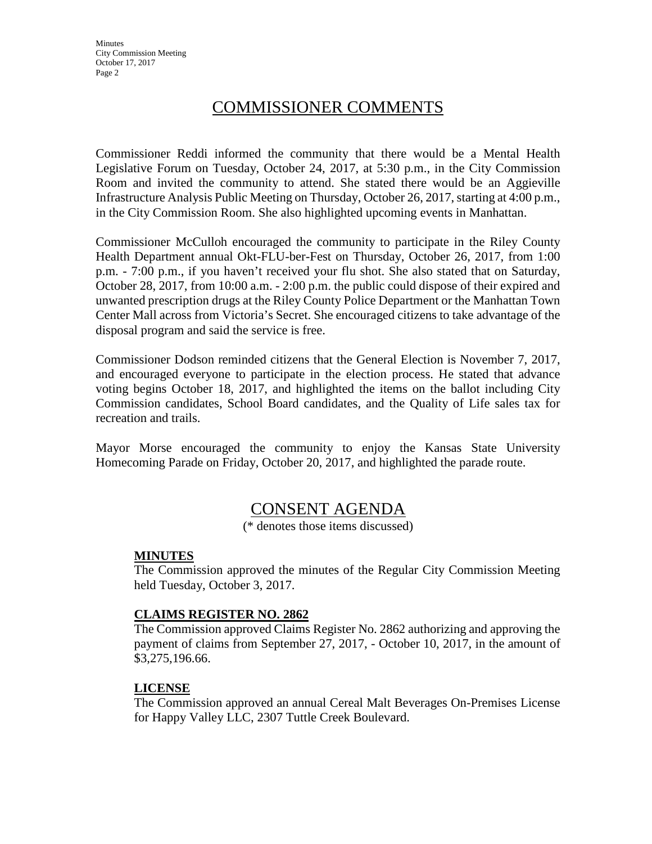**Minutes** City Commission Meeting October 17, 2017 Page 2

## COMMISSIONER COMMENTS

Commissioner Reddi informed the community that there would be a Mental Health Legislative Forum on Tuesday, October 24, 2017, at 5:30 p.m., in the City Commission Room and invited the community to attend. She stated there would be an Aggieville Infrastructure Analysis Public Meeting on Thursday, October 26, 2017, starting at 4:00 p.m., in the City Commission Room. She also highlighted upcoming events in Manhattan.

Commissioner McCulloh encouraged the community to participate in the Riley County Health Department annual Okt-FLU-ber-Fest on Thursday, October 26, 2017, from 1:00 p.m. - 7:00 p.m., if you haven't received your flu shot. She also stated that on Saturday, October 28, 2017, from 10:00 a.m. - 2:00 p.m. the public could dispose of their expired and unwanted prescription drugs at the Riley County Police Department or the Manhattan Town Center Mall across from Victoria's Secret. She encouraged citizens to take advantage of the disposal program and said the service is free.

Commissioner Dodson reminded citizens that the General Election is November 7, 2017, and encouraged everyone to participate in the election process. He stated that advance voting begins October 18, 2017, and highlighted the items on the ballot including City Commission candidates, School Board candidates, and the Quality of Life sales tax for recreation and trails.

Mayor Morse encouraged the community to enjoy the Kansas State University Homecoming Parade on Friday, October 20, 2017, and highlighted the parade route.

## CONSENT AGENDA

(\* denotes those items discussed)

#### **MINUTES**

The Commission approved the minutes of the Regular City Commission Meeting held Tuesday, October 3, 2017.

#### **CLAIMS REGISTER NO. 2862**

The Commission approved Claims Register No. 2862 authorizing and approving the payment of claims from September 27, 2017, - October 10, 2017, in the amount of \$3,275,196.66.

#### **LICENSE**

The Commission approved an annual Cereal Malt Beverages On-Premises License for Happy Valley LLC, 2307 Tuttle Creek Boulevard.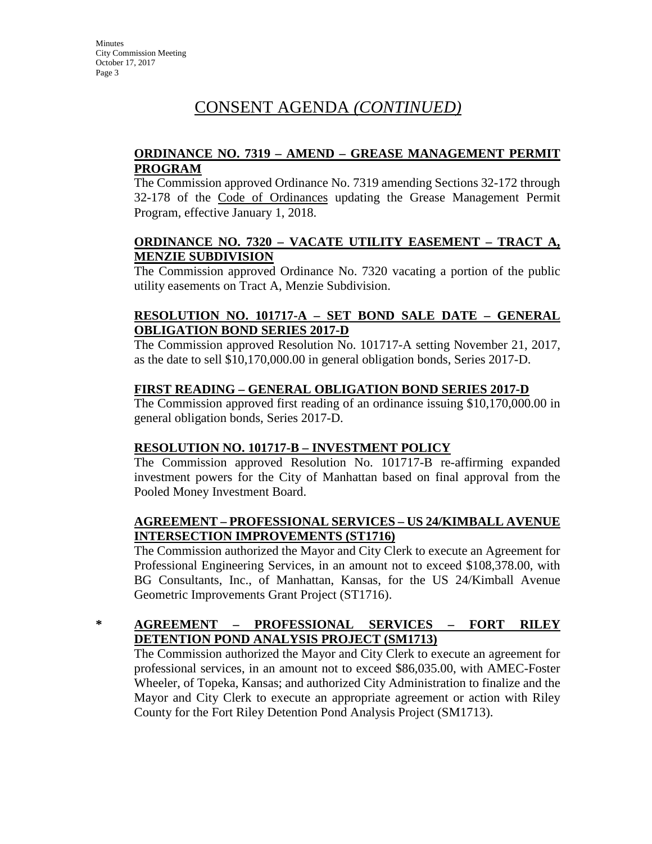## **ORDINANCE NO. 7319 – AMEND – GREASE MANAGEMENT PERMIT PROGRAM**

The Commission approved Ordinance No. 7319 amending Sections 32-172 through 32-178 of the Code of Ordinances updating the Grease Management Permit Program, effective January 1, 2018.

### **ORDINANCE NO. 7320 – VACATE UTILITY EASEMENT – TRACT A, MENZIE SUBDIVISION**

The Commission approved Ordinance No. 7320 vacating a portion of the public utility easements on Tract A, Menzie Subdivision.

## **RESOLUTION NO. 101717-A – SET BOND SALE DATE – GENERAL OBLIGATION BOND SERIES 2017-D**

The Commission approved Resolution No. 101717-A setting November 21, 2017, as the date to sell \$10,170,000.00 in general obligation bonds, Series 2017-D.

## **FIRST READING – GENERAL OBLIGATION BOND SERIES 2017-D**

The Commission approved first reading of an ordinance issuing \$10,170,000.00 in general obligation bonds, Series 2017-D.

## **RESOLUTION NO. 101717-B – INVESTMENT POLICY**

The Commission approved Resolution No. 101717-B re-affirming expanded investment powers for the City of Manhattan based on final approval from the Pooled Money Investment Board.

#### **AGREEMENT – PROFESSIONAL SERVICES – US 24/KIMBALL AVENUE INTERSECTION IMPROVEMENTS (ST1716)**

The Commission authorized the Mayor and City Clerk to execute an Agreement for Professional Engineering Services, in an amount not to exceed \$108,378.00, with BG Consultants, Inc., of Manhattan, Kansas, for the US 24/Kimball Avenue Geometric Improvements Grant Project (ST1716).

## **\* AGREEMENT – PROFESSIONAL SERVICES – FORT RILEY DETENTION POND ANALYSIS PROJECT (SM1713)**

The Commission authorized the Mayor and City Clerk to execute an agreement for professional services, in an amount not to exceed \$86,035.00, with AMEC-Foster Wheeler, of Topeka, Kansas; and authorized City Administration to finalize and the Mayor and City Clerk to execute an appropriate agreement or action with Riley County for the Fort Riley Detention Pond Analysis Project (SM1713).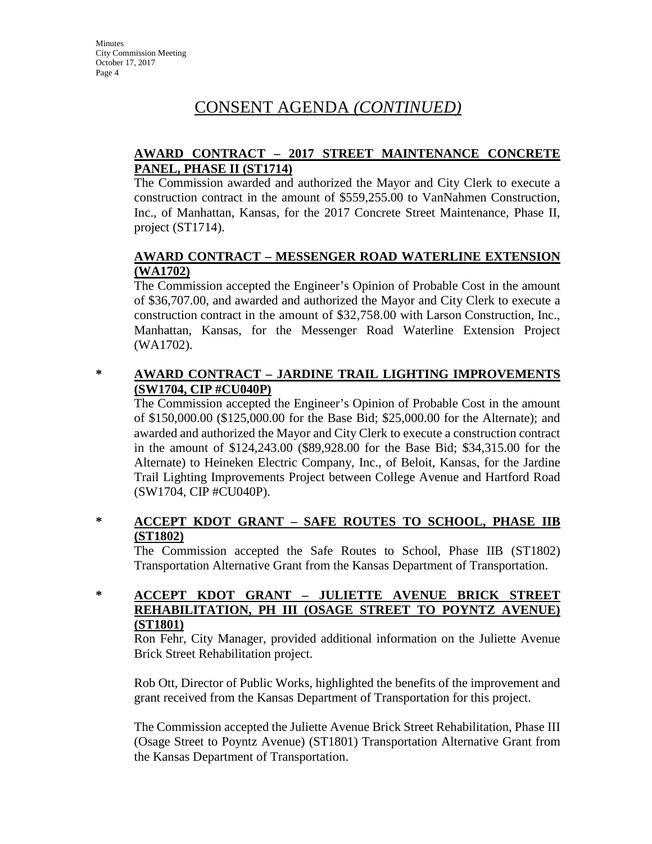## **AWARD CONTRACT – 2017 STREET MAINTENANCE CONCRETE PANEL, PHASE II (ST1714)**

The Commission awarded and authorized the Mayor and City Clerk to execute a construction contract in the amount of \$559,255.00 to VanNahmen Construction, Inc., of Manhattan, Kansas, for the 2017 Concrete Street Maintenance, Phase II, project (ST1714).

## **AWARD CONTRACT – MESSENGER ROAD WATERLINE EXTENSION (WA1702)**

The Commission accepted the Engineer's Opinion of Probable Cost in the amount of \$36,707.00, and awarded and authorized the Mayor and City Clerk to execute a construction contract in the amount of \$32,758.00 with Larson Construction, Inc., Manhattan, Kansas, for the Messenger Road Waterline Extension Project (WA1702).

## **\* AWARD CONTRACT – JARDINE TRAIL LIGHTING IMPROVEMENTS (SW1704, CIP #CU040P)**

The Commission accepted the Engineer's Opinion of Probable Cost in the amount of \$150,000.00 (\$125,000.00 for the Base Bid; \$25,000.00 for the Alternate); and awarded and authorized the Mayor and City Clerk to execute a construction contract in the amount of \$124,243.00 (\$89,928.00 for the Base Bid; \$34,315.00 for the Alternate) to Heineken Electric Company, Inc., of Beloit, Kansas, for the Jardine Trail Lighting Improvements Project between College Avenue and Hartford Road (SW1704, CIP #CU040P).

## **\* ACCEPT KDOT GRANT – SAFE ROUTES TO SCHOOL, PHASE IIB (ST1802)**

The Commission accepted the Safe Routes to School, Phase IIB (ST1802) Transportation Alternative Grant from the Kansas Department of Transportation.

## **\* ACCEPT KDOT GRANT – JULIETTE AVENUE BRICK STREET REHABILITATION, PH III (OSAGE STREET TO POYNTZ AVENUE) (ST1801)**

Ron Fehr, City Manager, provided additional information on the Juliette Avenue Brick Street Rehabilitation project.

Rob Ott, Director of Public Works, highlighted the benefits of the improvement and grant received from the Kansas Department of Transportation for this project.

The Commission accepted the Juliette Avenue Brick Street Rehabilitation, Phase III (Osage Street to Poyntz Avenue) (ST1801) Transportation Alternative Grant from the Kansas Department of Transportation.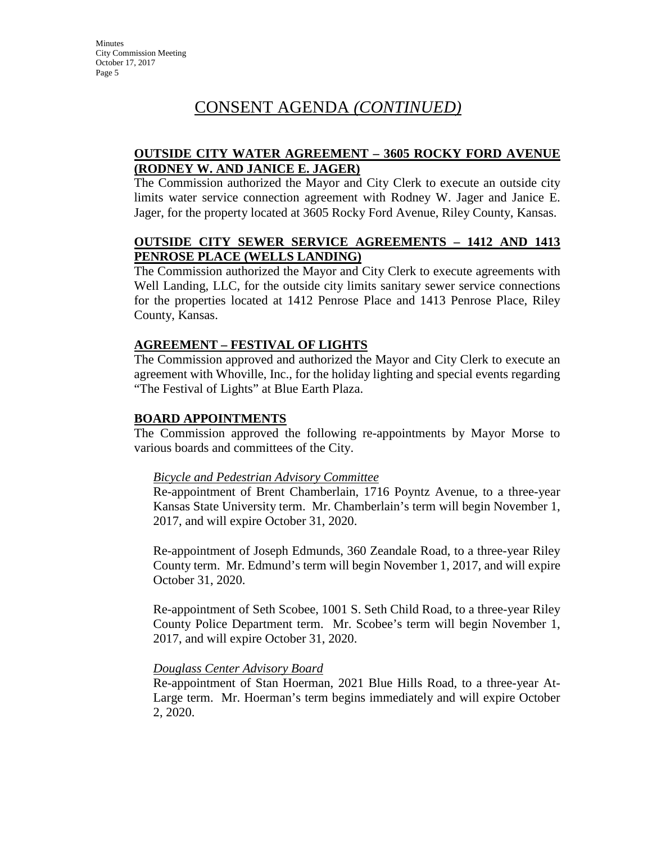### **OUTSIDE CITY WATER AGREEMENT – 3605 ROCKY FORD AVENUE (RODNEY W. AND JANICE E. JAGER)**

The Commission authorized the Mayor and City Clerk to execute an outside city limits water service connection agreement with Rodney W. Jager and Janice E. Jager, for the property located at 3605 Rocky Ford Avenue, Riley County, Kansas.

### **OUTSIDE CITY SEWER SERVICE AGREEMENTS – 1412 AND 1413 PENROSE PLACE (WELLS LANDING)**

The Commission authorized the Mayor and City Clerk to execute agreements with Well Landing, LLC, for the outside city limits sanitary sewer service connections for the properties located at 1412 Penrose Place and 1413 Penrose Place, Riley County, Kansas.

#### **AGREEMENT – FESTIVAL OF LIGHTS**

The Commission approved and authorized the Mayor and City Clerk to execute an agreement with Whoville, Inc., for the holiday lighting and special events regarding "The Festival of Lights" at Blue Earth Plaza.

#### **BOARD APPOINTMENTS**

The Commission approved the following re-appointments by Mayor Morse to various boards and committees of the City.

#### *Bicycle and Pedestrian Advisory Committee*

Re-appointment of Brent Chamberlain, 1716 Poyntz Avenue, to a three-year Kansas State University term. Mr. Chamberlain's term will begin November 1, 2017, and will expire October 31, 2020.

Re-appointment of Joseph Edmunds, 360 Zeandale Road, to a three-year Riley County term. Mr. Edmund's term will begin November 1, 2017, and will expire October 31, 2020.

Re-appointment of Seth Scobee, 1001 S. Seth Child Road, to a three-year Riley County Police Department term. Mr. Scobee's term will begin November 1, 2017, and will expire October 31, 2020.

#### *Douglass Center Advisory Board*

Re-appointment of Stan Hoerman, 2021 Blue Hills Road, to a three-year At-Large term. Mr. Hoerman's term begins immediately and will expire October 2, 2020.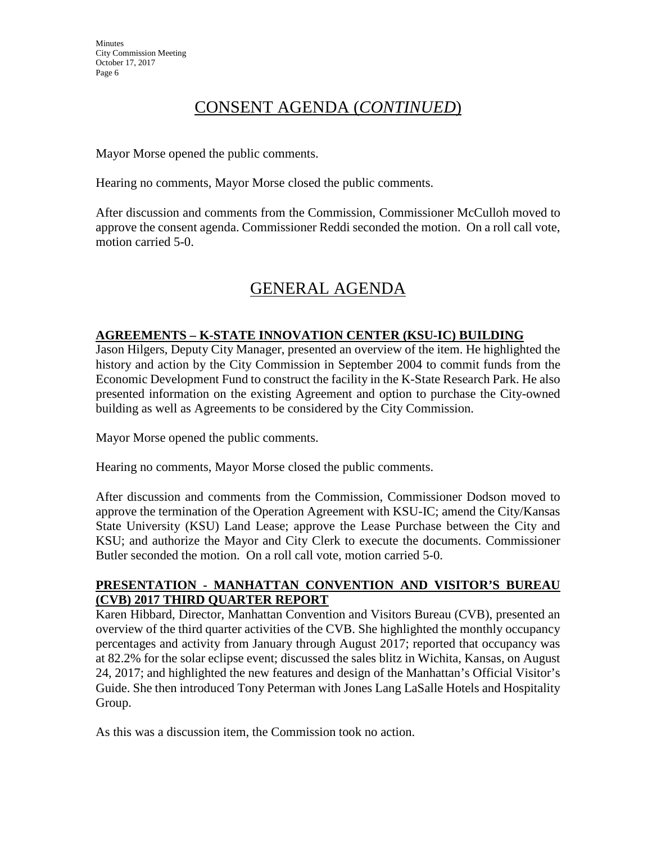Mayor Morse opened the public comments.

Hearing no comments, Mayor Morse closed the public comments.

After discussion and comments from the Commission, Commissioner McCulloh moved to approve the consent agenda. Commissioner Reddi seconded the motion. On a roll call vote, motion carried 5-0.

# GENERAL AGENDA

## **AGREEMENTS – K-STATE INNOVATION CENTER (KSU-IC) BUILDING**

Jason Hilgers, Deputy City Manager, presented an overview of the item. He highlighted the history and action by the City Commission in September 2004 to commit funds from the Economic Development Fund to construct the facility in the K-State Research Park. He also presented information on the existing Agreement and option to purchase the City-owned building as well as Agreements to be considered by the City Commission.

Mayor Morse opened the public comments.

Hearing no comments, Mayor Morse closed the public comments.

After discussion and comments from the Commission, Commissioner Dodson moved to approve the termination of the Operation Agreement with KSU-IC; amend the City/Kansas State University (KSU) Land Lease; approve the Lease Purchase between the City and KSU; and authorize the Mayor and City Clerk to execute the documents. Commissioner Butler seconded the motion. On a roll call vote, motion carried 5-0.

## **PRESENTATION - MANHATTAN CONVENTION AND VISITOR'S BUREAU (CVB) 2017 THIRD QUARTER REPORT**

Karen Hibbard, Director, Manhattan Convention and Visitors Bureau (CVB), presented an overview of the third quarter activities of the CVB. She highlighted the monthly occupancy percentages and activity from January through August 2017; reported that occupancy was at 82.2% for the solar eclipse event; discussed the sales blitz in Wichita, Kansas, on August 24, 2017; and highlighted the new features and design of the Manhattan's Official Visitor's Guide. She then introduced Tony Peterman with Jones Lang LaSalle Hotels and Hospitality Group.

As this was a discussion item, the Commission took no action.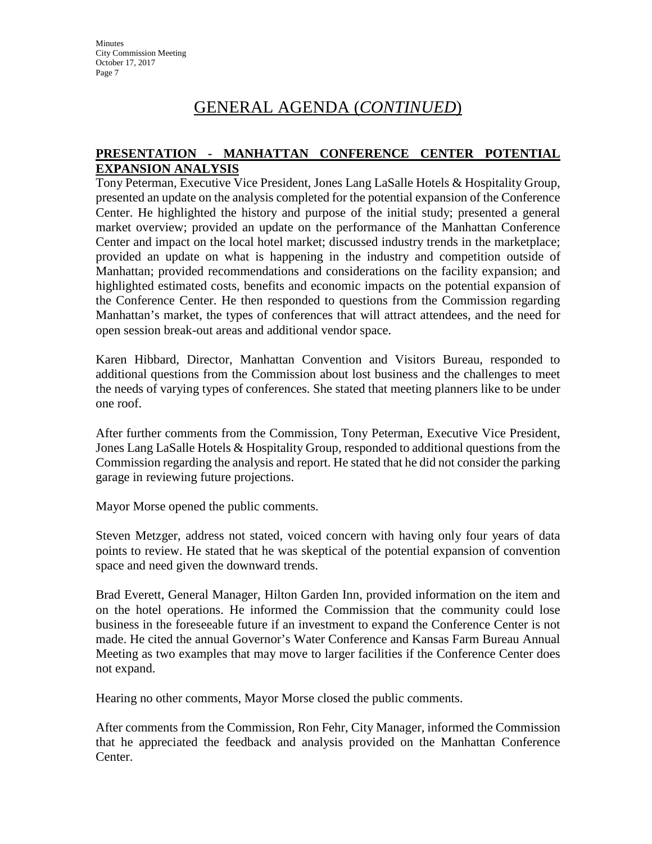#### **PRESENTATION - MANHATTAN CONFERENCE CENTER POTENTIAL EXPANSION ANALYSIS**

Tony Peterman, Executive Vice President, Jones Lang LaSalle Hotels & Hospitality Group, presented an update on the analysis completed for the potential expansion of the Conference Center. He highlighted the history and purpose of the initial study; presented a general market overview; provided an update on the performance of the Manhattan Conference Center and impact on the local hotel market; discussed industry trends in the marketplace; provided an update on what is happening in the industry and competition outside of Manhattan; provided recommendations and considerations on the facility expansion; and highlighted estimated costs, benefits and economic impacts on the potential expansion of the Conference Center. He then responded to questions from the Commission regarding Manhattan's market, the types of conferences that will attract attendees, and the need for open session break-out areas and additional vendor space.

Karen Hibbard, Director, Manhattan Convention and Visitors Bureau, responded to additional questions from the Commission about lost business and the challenges to meet the needs of varying types of conferences. She stated that meeting planners like to be under one roof.

After further comments from the Commission, Tony Peterman, Executive Vice President, Jones Lang LaSalle Hotels & Hospitality Group, responded to additional questions from the Commission regarding the analysis and report. He stated that he did not consider the parking garage in reviewing future projections.

Mayor Morse opened the public comments.

Steven Metzger, address not stated, voiced concern with having only four years of data points to review. He stated that he was skeptical of the potential expansion of convention space and need given the downward trends.

Brad Everett, General Manager, Hilton Garden Inn, provided information on the item and on the hotel operations. He informed the Commission that the community could lose business in the foreseeable future if an investment to expand the Conference Center is not made. He cited the annual Governor's Water Conference and Kansas Farm Bureau Annual Meeting as two examples that may move to larger facilities if the Conference Center does not expand.

Hearing no other comments, Mayor Morse closed the public comments.

After comments from the Commission, Ron Fehr, City Manager, informed the Commission that he appreciated the feedback and analysis provided on the Manhattan Conference Center.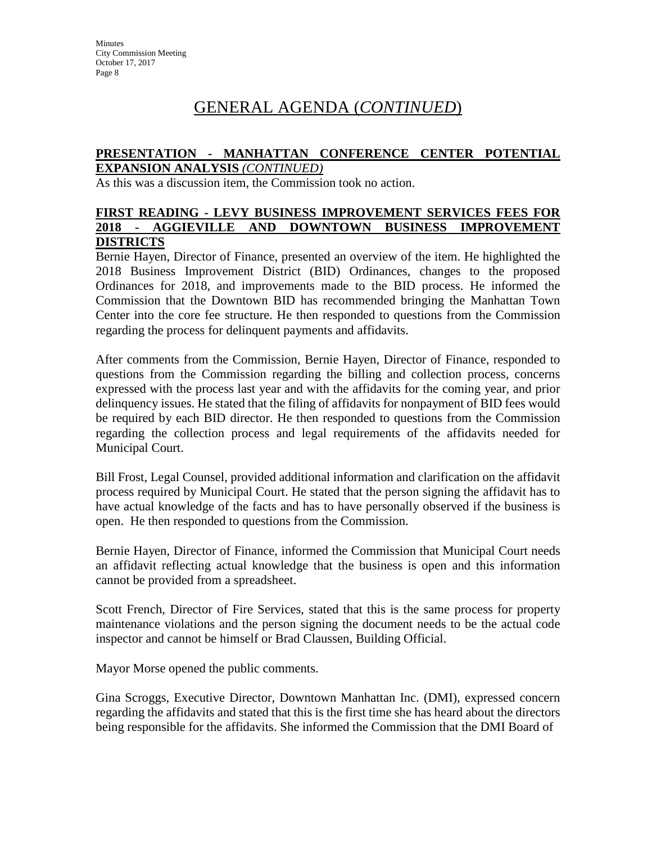#### **PRESENTATION - MANHATTAN CONFERENCE CENTER POTENTIAL EXPANSION ANALYSIS** *(CONTINUED)*

As this was a discussion item, the Commission took no action.

#### **FIRST READING - LEVY BUSINESS IMPROVEMENT SERVICES FEES FOR 2018 - AGGIEVILLE AND DOWNTOWN BUSINESS IMPROVEMENT DISTRICTS**

Bernie Hayen, Director of Finance, presented an overview of the item. He highlighted the 2018 Business Improvement District (BID) Ordinances, changes to the proposed Ordinances for 2018, and improvements made to the BID process. He informed the Commission that the Downtown BID has recommended bringing the Manhattan Town Center into the core fee structure. He then responded to questions from the Commission regarding the process for delinquent payments and affidavits.

After comments from the Commission, Bernie Hayen, Director of Finance, responded to questions from the Commission regarding the billing and collection process, concerns expressed with the process last year and with the affidavits for the coming year, and prior delinquency issues. He stated that the filing of affidavits for nonpayment of BID fees would be required by each BID director. He then responded to questions from the Commission regarding the collection process and legal requirements of the affidavits needed for Municipal Court.

Bill Frost, Legal Counsel, provided additional information and clarification on the affidavit process required by Municipal Court. He stated that the person signing the affidavit has to have actual knowledge of the facts and has to have personally observed if the business is open. He then responded to questions from the Commission.

Bernie Hayen, Director of Finance, informed the Commission that Municipal Court needs an affidavit reflecting actual knowledge that the business is open and this information cannot be provided from a spreadsheet.

Scott French, Director of Fire Services, stated that this is the same process for property maintenance violations and the person signing the document needs to be the actual code inspector and cannot be himself or Brad Claussen, Building Official.

Mayor Morse opened the public comments.

Gina Scroggs, Executive Director, Downtown Manhattan Inc. (DMI), expressed concern regarding the affidavits and stated that this is the first time she has heard about the directors being responsible for the affidavits. She informed the Commission that the DMI Board of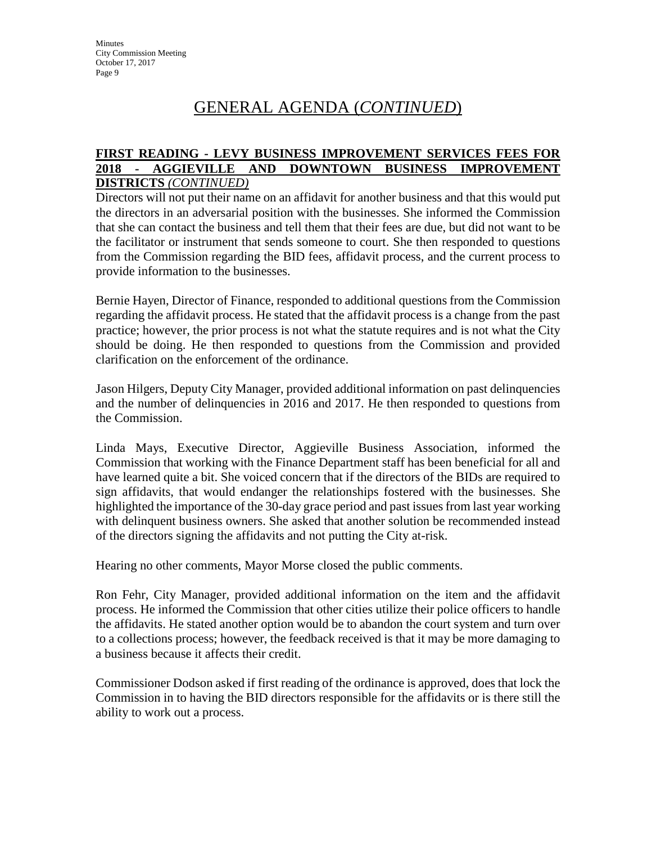#### **FIRST READING - LEVY BUSINESS IMPROVEMENT SERVICES FEES FOR 2018 - AGGIEVILLE AND DOWNTOWN BUSINESS IMPROVEMENT DISTRICTS** *(CONTINUED)*

Directors will not put their name on an affidavit for another business and that this would put the directors in an adversarial position with the businesses. She informed the Commission that she can contact the business and tell them that their fees are due, but did not want to be the facilitator or instrument that sends someone to court. She then responded to questions from the Commission regarding the BID fees, affidavit process, and the current process to provide information to the businesses.

Bernie Hayen, Director of Finance, responded to additional questions from the Commission regarding the affidavit process. He stated that the affidavit process is a change from the past practice; however, the prior process is not what the statute requires and is not what the City should be doing. He then responded to questions from the Commission and provided clarification on the enforcement of the ordinance.

Jason Hilgers, Deputy City Manager, provided additional information on past delinquencies and the number of delinquencies in 2016 and 2017. He then responded to questions from the Commission.

Linda Mays, Executive Director, Aggieville Business Association, informed the Commission that working with the Finance Department staff has been beneficial for all and have learned quite a bit. She voiced concern that if the directors of the BIDs are required to sign affidavits, that would endanger the relationships fostered with the businesses. She highlighted the importance of the 30-day grace period and past issues from last year working with delinquent business owners. She asked that another solution be recommended instead of the directors signing the affidavits and not putting the City at-risk.

Hearing no other comments, Mayor Morse closed the public comments.

Ron Fehr, City Manager, provided additional information on the item and the affidavit process. He informed the Commission that other cities utilize their police officers to handle the affidavits. He stated another option would be to abandon the court system and turn over to a collections process; however, the feedback received is that it may be more damaging to a business because it affects their credit.

Commissioner Dodson asked if first reading of the ordinance is approved, does that lock the Commission in to having the BID directors responsible for the affidavits or is there still the ability to work out a process.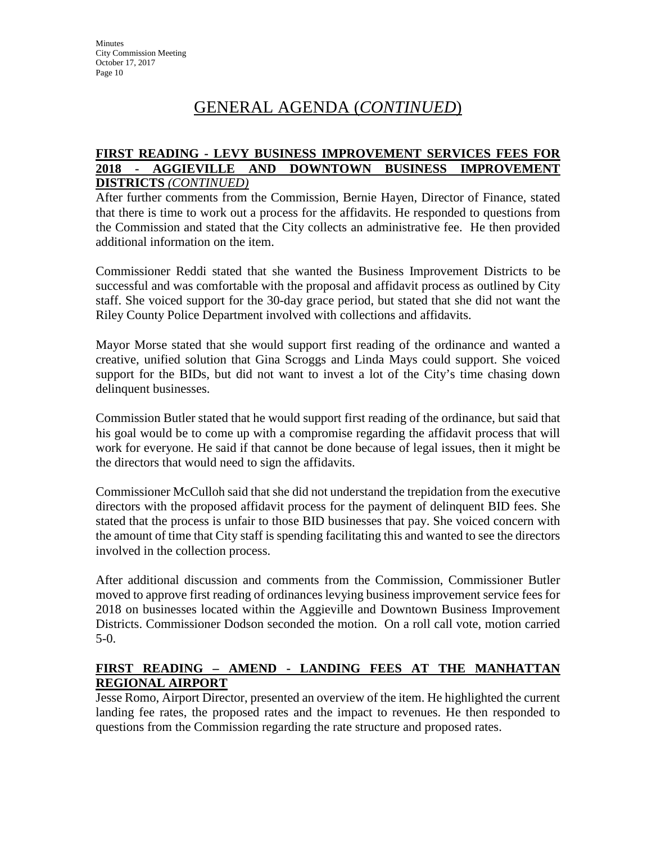#### **FIRST READING - LEVY BUSINESS IMPROVEMENT SERVICES FEES FOR 2018 - AGGIEVILLE AND DOWNTOWN BUSINESS IMPROVEMENT DISTRICTS** *(CONTINUED)*

After further comments from the Commission, Bernie Hayen, Director of Finance, stated that there is time to work out a process for the affidavits. He responded to questions from the Commission and stated that the City collects an administrative fee. He then provided additional information on the item.

Commissioner Reddi stated that she wanted the Business Improvement Districts to be successful and was comfortable with the proposal and affidavit process as outlined by City staff. She voiced support for the 30-day grace period, but stated that she did not want the Riley County Police Department involved with collections and affidavits.

Mayor Morse stated that she would support first reading of the ordinance and wanted a creative, unified solution that Gina Scroggs and Linda Mays could support. She voiced support for the BIDs, but did not want to invest a lot of the City's time chasing down delinquent businesses.

Commission Butler stated that he would support first reading of the ordinance, but said that his goal would be to come up with a compromise regarding the affidavit process that will work for everyone. He said if that cannot be done because of legal issues, then it might be the directors that would need to sign the affidavits.

Commissioner McCulloh said that she did not understand the trepidation from the executive directors with the proposed affidavit process for the payment of delinquent BID fees. She stated that the process is unfair to those BID businesses that pay. She voiced concern with the amount of time that City staff is spending facilitating this and wanted to see the directors involved in the collection process.

After additional discussion and comments from the Commission, Commissioner Butler moved to approve first reading of ordinances levying business improvement service fees for 2018 on businesses located within the Aggieville and Downtown Business Improvement Districts. Commissioner Dodson seconded the motion. On a roll call vote, motion carried 5-0.

## **FIRST READING – AMEND - LANDING FEES AT THE MANHATTAN REGIONAL AIRPORT**

Jesse Romo, Airport Director, presented an overview of the item. He highlighted the current landing fee rates, the proposed rates and the impact to revenues. He then responded to questions from the Commission regarding the rate structure and proposed rates.